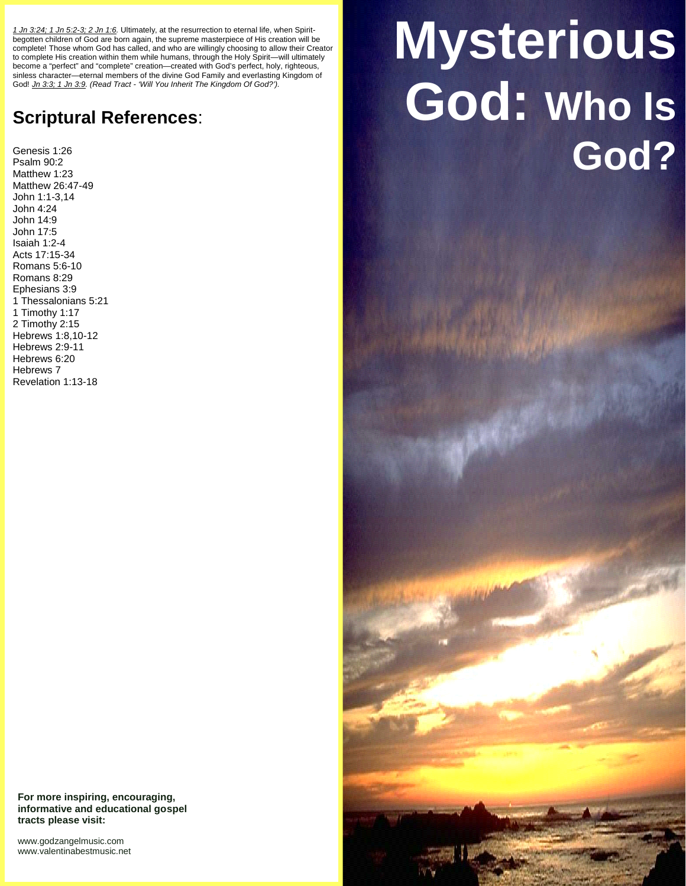*1 Jn 3:24; 1 Jn 5:2-3; 2 Jn 1:6.* Ultimately, at the resurrection to eternal life, when Spirit begotten children of God are born again, the supreme masterpiece of His creation will be complete! Those whom God has called, and who are willingly choosing to allow their Creator to complete His creation within them while humans, through the Holy Spirit—will ultimately become a "perfect" and "complete" creation—created with God's perfect, holy, righteous, sinless character—eternal members of the divine God Family and everlasting Kingdom of God! *Jn 3:3; 1 Jn 3:9. (Read Tract - 'Will You Inherit The Kingdom Of God?').*

## **Scriptural References**:

Genesis 1:26 Psalm 90:2 Matthew 1:23 Matthew 26:47-49 John 1:1-3,14 John 4:24 John 14:9 John 17:5 Isaiah 1:2-4 Acts 17:15-34 Romans 5:6-10 Romans 8:29 Ephesians 3:9 1 Thessalonians 5:21 1 Timothy 1:17 2 Timothy 2:15 Hebrews 1:8,10-12 Hebrews 2:9-11 Hebrews 6:20 Hebrews 7 Revelation 1:13-18

## **For more inspiring, encouraging, informative and educational gospel tracts please visit:**

<www.godzangelmusic.com> <www.valentinabestmusic.net>

## **Mysterious God: Who Is God?**